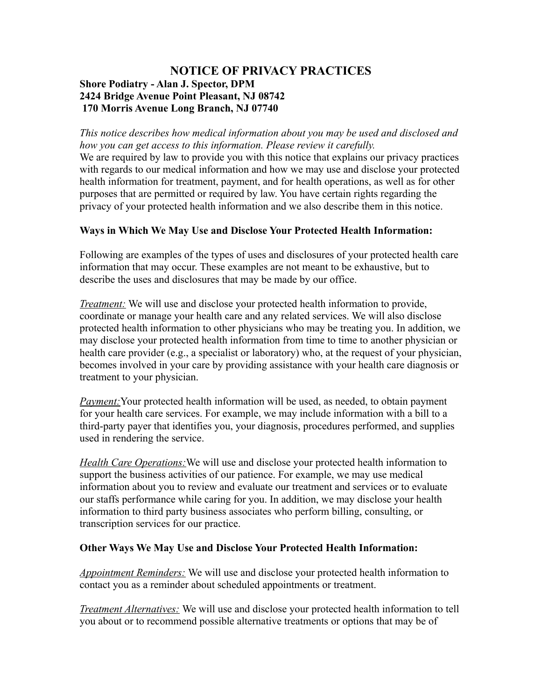## **NOTICE OF PRIVACY PRACTICES Shore Podiatry - Alan J. Spector, DPM 2424 Bridge Avenue Point Pleasant, NJ 08742 170 Morris Avenue Long Branch, NJ 07740**

*This notice describes how medical information about you may be used and disclosed and how you can get access to this information. Please review it carefully.* We are required by law to provide you with this notice that explains our privacy practices with regards to our medical information and how we may use and disclose your protected health information for treatment, payment, and for health operations, as well as for other purposes that are permitted or required by law. You have certain rights regarding the privacy of your protected health information and we also describe them in this notice.

## **Ways in Which We May Use and Disclose Your Protected Health Information:**

Following are examples of the types of uses and disclosures of your protected health care information that may occur. These examples are not meant to be exhaustive, but to describe the uses and disclosures that may be made by our office.

*Treatment:* We will use and disclose your protected health information to provide, coordinate or manage your health care and any related services. We will also disclose protected health information to other physicians who may be treating you. In addition, we may disclose your protected health information from time to time to another physician or health care provider (e.g., a specialist or laboratory) who, at the request of your physician, becomes involved in your care by providing assistance with your health care diagnosis or treatment to your physician.

*Payment:*Your protected health information will be used, as needed, to obtain payment for your health care services. For example, we may include information with a bill to a third-party payer that identifies you, your diagnosis, procedures performed, and supplies used in rendering the service.

*Health Care Operations:*We will use and disclose your protected health information to support the business activities of our patience. For example, we may use medical information about you to review and evaluate our treatment and services or to evaluate our staffs performance while caring for you. In addition, we may disclose your health information to third party business associates who perform billing, consulting, or transcription services for our practice.

## **Other Ways We May Use and Disclose Your Protected Health Information:**

*Appointment Reminders:* We will use and disclose your protected health information to contact you as a reminder about scheduled appointments or treatment.

*Treatment Alternatives:* We will use and disclose your protected health information to tell you about or to recommend possible alternative treatments or options that may be of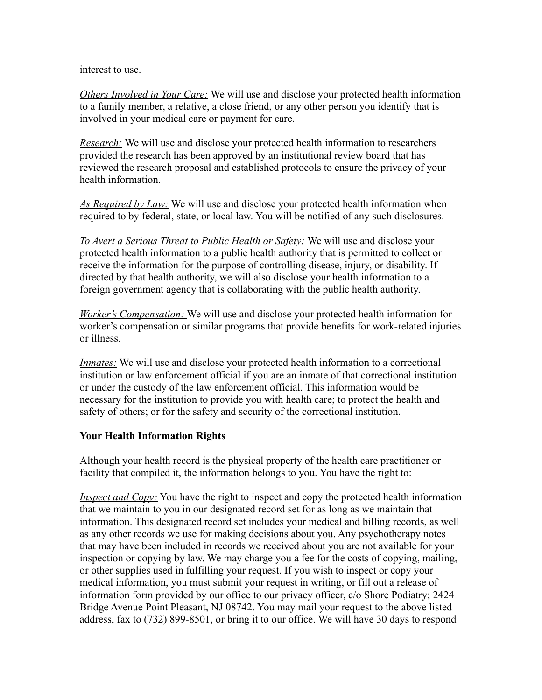interest to use.

*Others Involved in Your Care:* We will use and disclose your protected health information to a family member, a relative, a close friend, or any other person you identify that is involved in your medical care or payment for care.

*Research:* We will use and disclose your protected health information to researchers provided the research has been approved by an institutional review board that has reviewed the research proposal and established protocols to ensure the privacy of your health information.

*As Required by Law:* We will use and disclose your protected health information when required to by federal, state, or local law. You will be notified of any such disclosures.

*To Avert a Serious Threat to Public Health or Safety:* We will use and disclose your protected health information to a public health authority that is permitted to collect or receive the information for the purpose of controlling disease, injury, or disability. If directed by that health authority, we will also disclose your health information to a foreign government agency that is collaborating with the public health authority.

 *Worker 's Compensation:* We will use and disclose your protected health information for worker's compensation or similar programs that provide benefits for work-related injuries or illness.

*Inmates:* We will use and disclose your protected health information to a correctional institution or law enforcement official if you are an inmate of that correctional institution or under the custody of the law enforcement official. This information would be necessary for the institution to provide you with health care; to protect the health and safety of others; or for the safety and security of the correctional institution.

## **Your Health Information Rights**

Although your health record is the physical property of the health care practitioner or facility that compiled it, the information belongs to you. You have the right to:

*Inspect and Copy:* You have the right to inspect and copy the protected health information that we maintain to you in our designated record set for as long as we maintain that information. This designated record set includes your medical and billing records, as well as any other records we use for making decisions about you. Any psychotherapy notes that may have been included in records we received about you are not available for your inspection or copying by law. We may charge you a fee for the costs of copying, mailing, or other supplies used in fulfilling your request. If you wish to inspect or copy your medical information, you must submit your request in writing, or fill out a release of information form provided by our office to our privacy officer, c/o Shore Podiatry; 2424 Bridge Avenue Point Pleasant, NJ 08742. You may mail your request to the above listed address, fax to (732) 899-8501, or bring it to our office. We will have 30 days to respond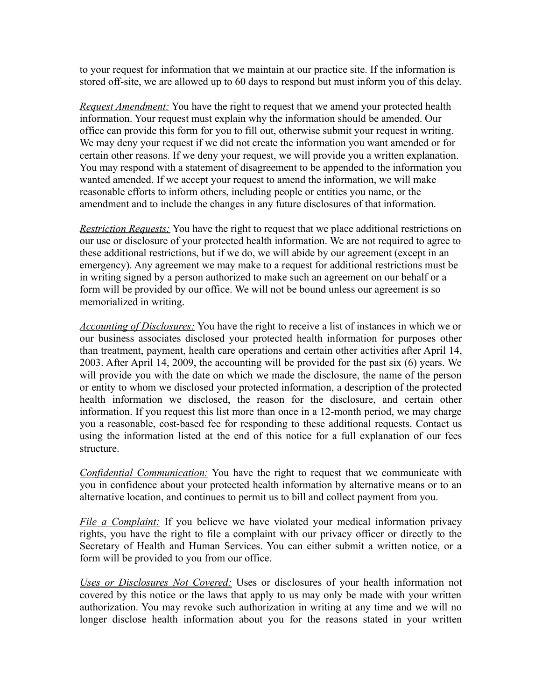to your request for information that we maintain at our practice site. If the information is stored off-site, we are allowed up to 60 days to respond but must inform you of this delay.

*Request Amendment:* You have the right to request that we amend your protected health information. Your request must explain why the information should be amended. Our office can provide this form for you to fill out, otherwise submit your request in writing. We may deny your request if we did not create the information you want amended or for certain other reasons. If we deny your request, we will provide you a written explanation. You may respond with a statement of disagreement to be appended to the information you wanted amended. If we accept your request to amend the information, we will make reasonable efforts to inform others, including people or entities you name, or the amendment and to include the changes in any future disclosures of that information.

*Restriction Requests:* You have the right to request that we place additional restrictions on our use or disclosure of your protected health information. We are not required to agree to these additional restrictions, but if we do, we will abide by our agreement (except in an emergency). Any agreement we may make to a request for additional restrictions must be in writing signed by a person authorized to make such an agreement on our behalf or a form will be provided by our office. We will not be bound unless our agreement is so memorialized in writing.

*Accounting of Disclosures:* You have the right to receive a list of instances in which we or our business associates disclosed your protected health information for purposes other than treatment, payment, health care operations and certain other activities after April 14, 2003. After April 14, 2009, the accounting will be provided for the past six (6) years. We will provide you with the date on which we made the disclosure, the name of the person or entity to whom we disclosed your protected information, a description of the protected health information we disclosed, the reason for the disclosure, and certain other information. If you request this list more than once in a 12-month period, we may charge you a reasonable, cost-based fee for responding to these additional requests. Contact us using the information listed at the end of this notice for a full explanation of our fees structure.

*Confidential Communication:* You have the right to request that we communicate with you in confidence about your protected health information by alternative means or to an alternative location, and continues to permit us to bill and collect payment from you.

*File a Complaint:* If you believe we have violated your medical information privacy rights, you have the right to file a complaint with our privacy officer or directly to the Secretary of Health and Human Services. You can either submit a written notice, or a form will be provided to you from our office.

*Uses or Disclosures Not Covered:* Uses or disclosures of your health information not covered by this notice or the laws that apply to us may only be made with your written authorization. You may revoke such authorization in writing at any time and we will no longer disclose health information about you for the reasons stated in your written